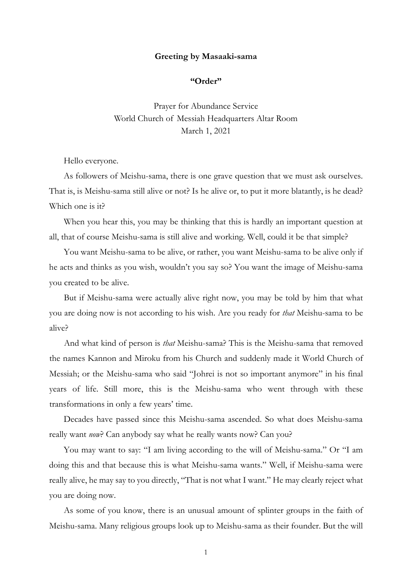## **Greeting by Masaaki-sama**

## **"Order"**

Prayer for Abundance Service World Church of Messiah Headquarters Altar Room March 1, 2021

Hello everyone.

As followers of Meishu-sama, there is one grave question that we must ask ourselves. That is, is Meishu-sama still alive or not? Is he alive or, to put it more blatantly, is he dead? Which one is it?

When you hear this, you may be thinking that this is hardly an important question at all, that of course Meishu-sama is still alive and working. Well, could it be that simple?

You want Meishu-sama to be alive, or rather, you want Meishu-sama to be alive only if he acts and thinks as you wish, wouldn't you say so? You want the image of Meishu-sama you created to be alive.

But if Meishu-sama were actually alive right now, you may be told by him that what you are doing now is not according to his wish. Are you ready for *that* Meishu-sama to be alive?

And what kind of person is *that* Meishu-sama? This is the Meishu-sama that removed the names Kannon and Miroku from his Church and suddenly made it World Church of Messiah; or the Meishu-sama who said "Johrei is not so important anymore" in his final years of life. Still more, this is the Meishu-sama who went through with these transformations in only a few years' time.

Decades have passed since this Meishu-sama ascended. So what does Meishu-sama really want *now*? Can anybody say what he really wants now? Can you?

You may want to say: "I am living according to the will of Meishu-sama." Or "I am doing this and that because this is what Meishu-sama wants." Well, if Meishu-sama were really alive, he may say to you directly, "That is not what I want." He may clearly reject what you are doing now.

As some of you know, there is an unusual amount of splinter groups in the faith of Meishu-sama. Many religious groups look up to Meishu-sama as their founder. But the will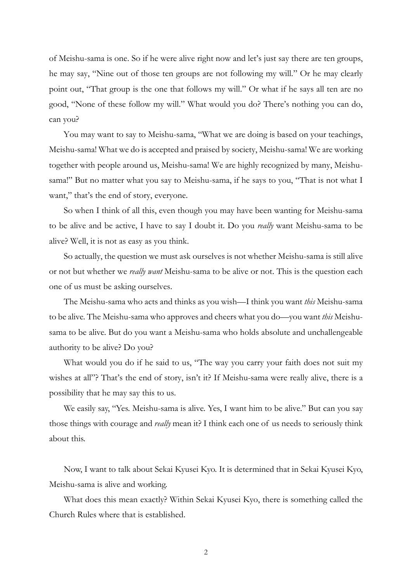of Meishu-sama is one. So if he were alive right now and let's just say there are ten groups, he may say, "Nine out of those ten groups are not following my will." Or he may clearly point out, "That group is the one that follows my will." Or what if he says all ten are no good, "None of these follow my will." What would you do? There's nothing you can do, can you?

You may want to say to Meishu-sama, "What we are doing is based on your teachings, Meishu-sama! What we do is accepted and praised by society, Meishu-sama! We are working together with people around us, Meishu-sama! We are highly recognized by many, Meishusama!" But no matter what you say to Meishu-sama, if he says to you, "That is not what I want," that's the end of story, everyone.

So when I think of all this, even though you may have been wanting for Meishu-sama to be alive and be active, I have to say I doubt it. Do you *really* want Meishu-sama to be alive? Well, it is not as easy as you think.

So actually, the question we must ask ourselves is not whether Meishu-sama is still alive or not but whether we *really want* Meishu-sama to be alive or not. This is the question each one of us must be asking ourselves.

The Meishu-sama who acts and thinks as you wish—I think you want *this* Meishu-sama to be alive. The Meishu-sama who approves and cheers what you do—you want *this* Meishusama to be alive. But do you want a Meishu-sama who holds absolute and unchallengeable authority to be alive? Do you?

What would you do if he said to us, "The way you carry your faith does not suit my wishes at all"? That's the end of story, isn't it? If Meishu-sama were really alive, there is a possibility that he may say this to us.

We easily say, "Yes. Meishu-sama is alive. Yes, I want him to be alive." But can you say those things with courage and *really* mean it? I think each one of us needs to seriously think about this.

Now, I want to talk about Sekai Kyusei Kyo. It is determined that in Sekai Kyusei Kyo, Meishu-sama is alive and working.

What does this mean exactly? Within Sekai Kyusei Kyo, there is something called the Church Rules where that is established.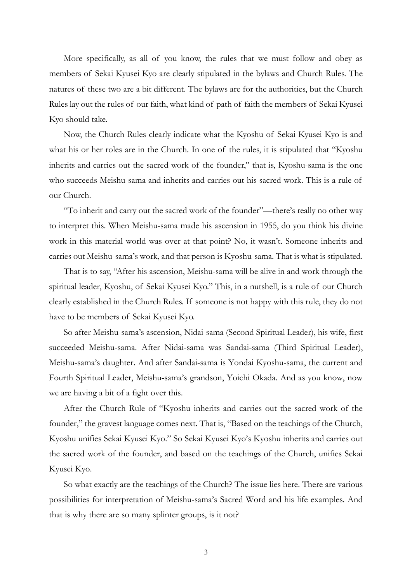More specifically, as all of you know, the rules that we must follow and obey as members of Sekai Kyusei Kyo are clearly stipulated in the bylaws and Church Rules. The natures of these two are a bit different. The bylaws are for the authorities, but the Church Rules lay out the rules of our faith, what kind of path of faith the members of Sekai Kyusei Kyo should take.

Now, the Church Rules clearly indicate what the Kyoshu of Sekai Kyusei Kyo is and what his or her roles are in the Church. In one of the rules, it is stipulated that "Kyoshu inherits and carries out the sacred work of the founder," that is, Kyoshu-sama is the one who succeeds Meishu-sama and inherits and carries out his sacred work. This is a rule of our Church.

"To inherit and carry out the sacred work of the founder"—there's really no other way to interpret this. When Meishu-sama made his ascension in 1955, do you think his divine work in this material world was over at that point? No, it wasn't. Someone inherits and carries out Meishu-sama's work, and that person is Kyoshu-sama. That is what is stipulated.

That is to say, "After his ascension, Meishu-sama will be alive in and work through the spiritual leader, Kyoshu, of Sekai Kyusei Kyo." This, in a nutshell, is a rule of our Church clearly established in the Church Rules. If someone is not happy with this rule, they do not have to be members of Sekai Kyusei Kyo.

So after Meishu-sama's ascension, Nidai-sama (Second Spiritual Leader), his wife, first succeeded Meishu-sama. After Nidai-sama was Sandai-sama (Third Spiritual Leader), Meishu-sama's daughter. And after Sandai-sama is Yondai Kyoshu-sama, the current and Fourth Spiritual Leader, Meishu-sama's grandson, Yoichi Okada. And as you know, now we are having a bit of a fight over this.

After the Church Rule of "Kyoshu inherits and carries out the sacred work of the founder," the gravest language comes next. That is, "Based on the teachings of the Church, Kyoshu unifies Sekai Kyusei Kyo." So Sekai Kyusei Kyo's Kyoshu inherits and carries out the sacred work of the founder, and based on the teachings of the Church, unifies Sekai Kyusei Kyo.

So what exactly are the teachings of the Church? The issue lies here. There are various possibilities for interpretation of Meishu-sama's Sacred Word and his life examples. And that is why there are so many splinter groups, is it not?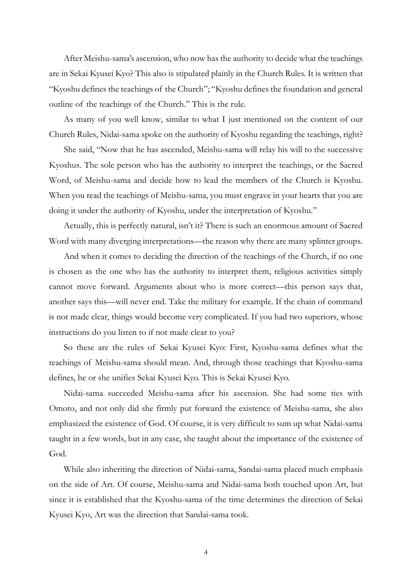After Meishu-sama's ascension, who now has the authority to decide what the teachings are in Sekai Kyusei Kyo? This also is stipulated plainly in the Church Rules. It is written that "Kyoshu defines the teachings of the Church"; "Kyoshu defines the foundation and general outline of the teachings of the Church." This is the rule.

As many of you well know, similar to what I just mentioned on the content of our Church Rules, Nidai-sama spoke on the authority of Kyoshu regarding the teachings, right?

She said, "Now that he has ascended, Meishu-sama will relay his will to the successive Kyoshus. The sole person who has the authority to interpret the teachings, or the Sacred Word, of Meishu-sama and decide how to lead the members of the Church is Kyoshu. When you read the teachings of Meishu-sama, you must engrave in your hearts that you are doing it under the authority of Kyoshu, under the interpretation of Kyoshu."

Actually, this is perfectly natural, isn't it? There is such an enormous amount of Sacred Word with many diverging interpretations—the reason why there are many splinter groups.

And when it comes to deciding the direction of the teachings of the Church, if no one is chosen as the one who has the authority to interpret them, religious activities simply cannot move forward. Arguments about who is more correct—this person says that, another says this—will never end. Take the military for example. If the chain of command is not made clear, things would become very complicated. If you had two superiors, whose instructions do you listen to if not made clear to you?

So these are the rules of Sekai Kyusei Kyo: First, Kyoshu-sama defines what the teachings of Meishu-sama should mean. And, through those teachings that Kyoshu-sama defines, he or she unifies Sekai Kyusei Kyo. This is Sekai Kyusei Kyo.

Nidai-sama succeeded Meishu-sama after his ascension. She had some ties with Omoto, and not only did she firmly put forward the existence of Meishu-sama, she also emphasized the existence of God. Of course, it is very difficult to sum up what Nidai-sama taught in a few words, but in any case, she taught about the importance of the existence of God.

While also inheriting the direction of Nidai-sama, Sandai-sama placed much emphasis on the side of Art. Of course, Meishu-sama and Nidai-sama both touched upon Art, but since it is established that the Kyoshu-sama of the time determines the direction of Sekai Kyusei Kyo, Art was the direction that Sandai-sama took.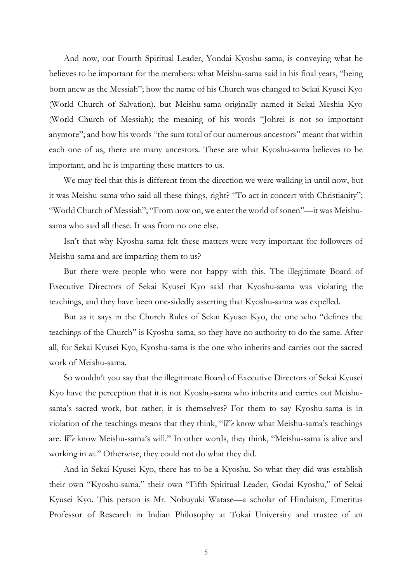And now, our Fourth Spiritual Leader, Yondai Kyoshu-sama, is conveying what he believes to be important for the members: what Meishu-sama said in his final years, "being born anew as the Messiah"; how the name of his Church was changed to Sekai Kyusei Kyo (World Church of Salvation), but Meishu-sama originally named it Sekai Meshia Kyo (World Church of Messiah); the meaning of his words "Johrei is not so important anymore"; and how his words "the sum total of our numerous ancestors" meant that within each one of us, there are many ancestors. These are what Kyoshu-sama believes to be important, and he is imparting these matters to us.

We may feel that this is different from the direction we were walking in until now, but it was Meishu-sama who said all these things, right? "To act in concert with Christianity"; "World Church of Messiah"; "From now on, we enter the world of sonen"—it was Meishusama who said all these. It was from no one else.

Isn't that why Kyoshu-sama felt these matters were very important for followers of Meishu-sama and are imparting them to us?

But there were people who were not happy with this. The illegitimate Board of Executive Directors of Sekai Kyusei Kyo said that Kyoshu-sama was violating the teachings, and they have been one-sidedly asserting that Kyoshu-sama was expelled.

But as it says in the Church Rules of Sekai Kyusei Kyo, the one who "defines the teachings of the Church" is Kyoshu-sama, so they have no authority to do the same. After all, for Sekai Kyusei Kyo, Kyoshu-sama is the one who inherits and carries out the sacred work of Meishu-sama.

So wouldn't you say that the illegitimate Board of Executive Directors of Sekai Kyusei Kyo have the perception that it is not Kyoshu-sama who inherits and carries out Meishusama's sacred work, but rather, it is themselves? For them to say Kyoshu-sama is in violation of the teachings means that they think, "*We* know what Meishu-sama's teachings are. *We* know Meishu-sama's will." In other words, they think, "Meishu-sama is alive and working in *us*." Otherwise, they could not do what they did.

And in Sekai Kyusei Kyo, there has to be a Kyoshu. So what they did was establish their own "Kyoshu-sama," their own "Fifth Spiritual Leader, Godai Kyoshu," of Sekai Kyusei Kyo. This person is Mr. Nobuyuki Watase—a scholar of Hinduism, Emeritus Professor of Research in Indian Philosophy at Tokai University and trustee of an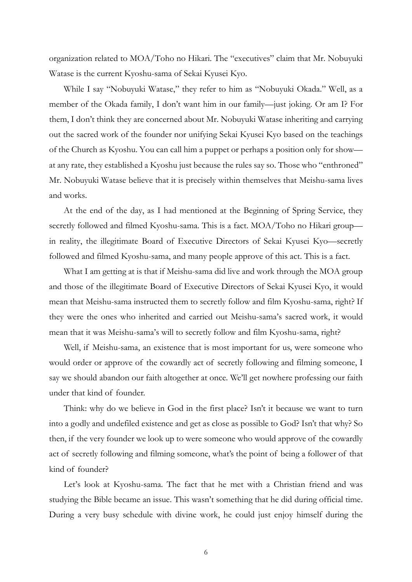organization related to MOA/Toho no Hikari. The "executives" claim that Mr. Nobuyuki Watase is the current Kyoshu-sama of Sekai Kyusei Kyo.

While I say "Nobuyuki Watase," they refer to him as "Nobuyuki Okada." Well, as a member of the Okada family, I don't want him in our family—just joking. Or am I? For them, I don't think they are concerned about Mr. Nobuyuki Watase inheriting and carrying out the sacred work of the founder nor unifying Sekai Kyusei Kyo based on the teachings of the Church as Kyoshu. You can call him a puppet or perhaps a position only for show at any rate, they established a Kyoshu just because the rules say so. Those who "enthroned" Mr. Nobuyuki Watase believe that it is precisely within themselves that Meishu-sama lives and works.

At the end of the day, as I had mentioned at the Beginning of Spring Service, they secretly followed and filmed Kyoshu-sama. This is a fact. MOA/Toho no Hikari group in reality, the illegitimate Board of Executive Directors of Sekai Kyusei Kyo—secretly followed and filmed Kyoshu-sama, and many people approve of this act. This is a fact.

What I am getting at is that if Meishu-sama did live and work through the MOA group and those of the illegitimate Board of Executive Directors of Sekai Kyusei Kyo, it would mean that Meishu-sama instructed them to secretly follow and film Kyoshu-sama, right? If they were the ones who inherited and carried out Meishu-sama's sacred work, it would mean that it was Meishu-sama's will to secretly follow and film Kyoshu-sama, right?

Well, if Meishu-sama, an existence that is most important for us, were someone who would order or approve of the cowardly act of secretly following and filming someone, I say we should abandon our faith altogether at once. We'll get nowhere professing our faith under that kind of founder.

Think: why do we believe in God in the first place? Isn't it because we want to turn into a godly and undefiled existence and get as close as possible to God? Isn't that why? So then, if the very founder we look up to were someone who would approve of the cowardly act of secretly following and filming someone, what's the point of being a follower of that kind of founder?

Let's look at Kyoshu-sama. The fact that he met with a Christian friend and was studying the Bible became an issue. This wasn't something that he did during official time. During a very busy schedule with divine work, he could just enjoy himself during the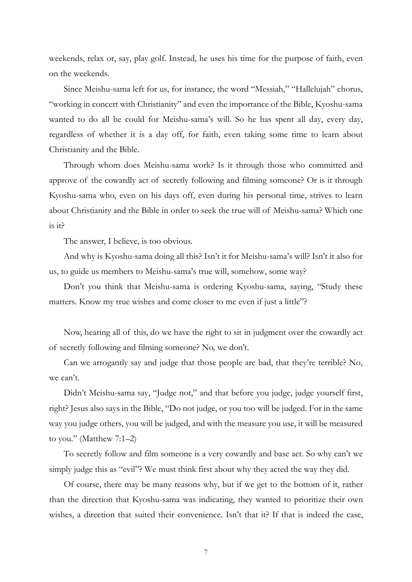weekends, relax or, say, play golf. Instead, he uses his time for the purpose of faith, even on the weekends.

Since Meishu-sama left for us, for instance, the word "Messiah," "Hallelujah" chorus, "working in concert with Christianity" and even the importance of the Bible, Kyoshu-sama wanted to do all he could for Meishu-sama's will. So he has spent all day, every day, regardless of whether it is a day off, for faith, even taking some time to learn about Christianity and the Bible.

Through whom does Meishu-sama work? Is it through those who committed and approve of the cowardly act of secretly following and filming someone? Or is it through Kyoshu-sama who, even on his days off, even during his personal time, strives to learn about Christianity and the Bible in order to seek the true will of Meishu-sama? Which one is it?

The answer, I believe, is too obvious.

And why is Kyoshu-sama doing all this? Isn't it for Meishu-sama's will? Isn't it also for us, to guide us members to Meishu-sama's true will, somehow, some way?

Don't you think that Meishu-sama is ordering Kyoshu-sama, saying, "Study these matters. Know my true wishes and come closer to me even if just a little"?

Now, hearing all of this, do we have the right to sit in judgment over the cowardly act of secretly following and filming someone? No, we don't.

Can we arrogantly say and judge that those people are bad, that they're terrible? No, we can't.

Didn't Meishu-sama say, "Judge not," and that before you judge, judge yourself first, right? Jesus also says in the Bible, "Do not judge, or you too will be judged. For in the same way you judge others, you will be judged, and with the measure you use, it will be measured to you." (Matthew 7:1–2)

To secretly follow and film someone is a very cowardly and base act. So why can't we simply judge this as "evil"? We must think first about why they acted the way they did.

Of course, there may be many reasons why, but if we get to the bottom of it, rather than the direction that Kyoshu-sama was indicating, they wanted to prioritize their own wishes, a direction that suited their convenience. Isn't that it? If that is indeed the case,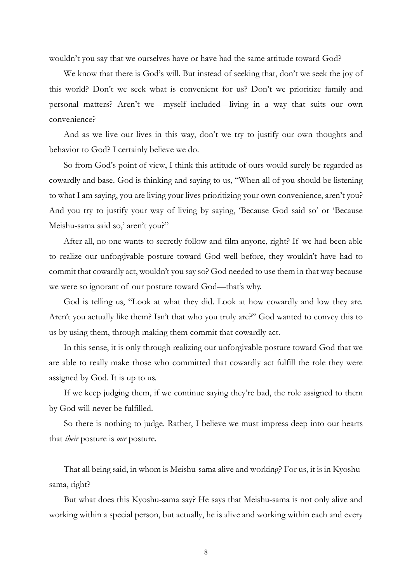wouldn't you say that we ourselves have or have had the same attitude toward God?

We know that there is God's will. But instead of seeking that, don't we seek the joy of this world? Don't we seek what is convenient for us? Don't we prioritize family and personal matters? Aren't we—myself included—living in a way that suits our own convenience?

And as we live our lives in this way, don't we try to justify our own thoughts and behavior to God? I certainly believe we do.

So from God's point of view, I think this attitude of ours would surely be regarded as cowardly and base. God is thinking and saying to us, "When all of you should be listening to what I am saying, you are living your lives prioritizing your own convenience, aren't you? And you try to justify your way of living by saying, 'Because God said so' or 'Because Meishu-sama said so,' aren't you?"

After all, no one wants to secretly follow and film anyone, right? If we had been able to realize our unforgivable posture toward God well before, they wouldn't have had to commit that cowardly act, wouldn't you say so? God needed to use them in that way because we were so ignorant of our posture toward God—that's why.

God is telling us, "Look at what they did. Look at how cowardly and low they are. Aren't you actually like them? Isn't that who you truly are?" God wanted to convey this to us by using them, through making them commit that cowardly act.

In this sense, it is only through realizing our unforgivable posture toward God that we are able to really make those who committed that cowardly act fulfill the role they were assigned by God. It is up to us.

If we keep judging them, if we continue saying they're bad, the role assigned to them by God will never be fulfilled.

So there is nothing to judge. Rather, I believe we must impress deep into our hearts that *their* posture is *our* posture.

That all being said, in whom is Meishu-sama alive and working? For us, it is in Kyoshusama, right?

But what does this Kyoshu-sama say? He says that Meishu-sama is not only alive and working within a special person, but actually, he is alive and working within each and every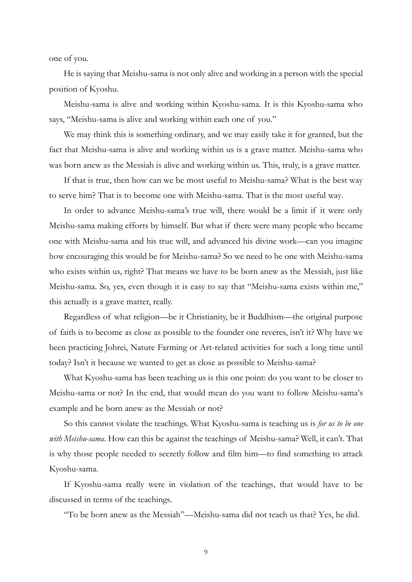one of you.

He is saying that Meishu-sama is not only alive and working in a person with the special position of Kyoshu.

Meishu-sama is alive and working within Kyoshu-sama. It is this Kyoshu-sama who says, "Meishu-sama is alive and working within each one of you."

We may think this is something ordinary, and we may easily take it for granted, but the fact that Meishu-sama is alive and working within us is a grave matter. Meishu-sama who was born anew as the Messiah is alive and working within us. This, truly, is a grave matter.

If that is true, then how can we be most useful to Meishu-sama? What is the best way to serve him? That is to become one with Meishu-sama. That is the most useful way.

In order to advance Meishu-sama's true will, there would be a limit if it were only Meishu-sama making efforts by himself. But what if there were many people who became one with Meishu-sama and his true will, and advanced his divine work—can you imagine how encouraging this would be for Meishu-sama? So we need to be one with Meishu-sama who exists within us, right? That means we have to be born anew as the Messiah, just like Meishu-sama. So, yes, even though it is easy to say that "Meishu-sama exists within me," this actually is a grave matter, really.

Regardless of what religion—be it Christianity, be it Buddhism—the original purpose of faith is to become as close as possible to the founder one reveres, isn't it? Why have we been practicing Johrei, Nature Farming or Art-related activities for such a long time until today? Isn't it because we wanted to get as close as possible to Meishu-sama?

What Kyoshu-sama has been teaching us is this one point: do you want to be closer to Meishu-sama or not? In the end, that would mean do you want to follow Meishu-sama's example and be born anew as the Messiah or not?

So this cannot violate the teachings. What Kyoshu-sama is teaching us is *for us to be one with Meishu-sama*. How can this be against the teachings of Meishu-sama? Well, it can't. That is why those people needed to secretly follow and film him—to find something to attack Kyoshu-sama.

If Kyoshu-sama really were in violation of the teachings, that would have to be discussed in terms of the teachings.

"To be born anew as the Messiah"—Meishu-sama did not teach us that? Yes, he did.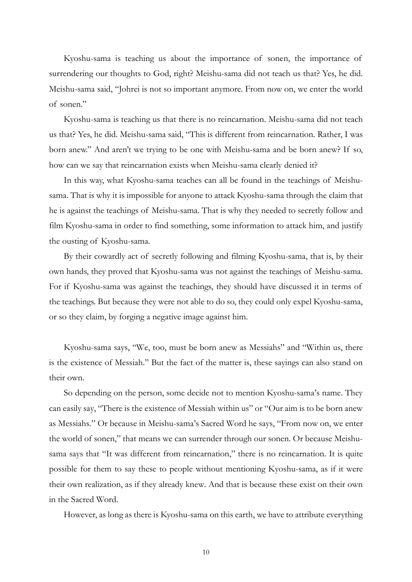Kyoshu-sama is teaching us about the importance of sonen, the importance of surrendering our thoughts to God, right? Meishu-sama did not teach us that? Yes, he did. Meishu-sama said, "Johrei is not so important anymore. From now on, we enter the world of sonen."

Kyoshu-sama is teaching us that there is no reincarnation. Meishu-sama did not teach us that? Yes, he did. Meishu-sama said, "This is different from reincarnation. Rather, I was born anew." And aren't we trying to be one with Meishu-sama and be born anew? If so, how can we say that reincarnation exists when Meishu-sama clearly denied it?

In this way, what Kyoshu-sama teaches can all be found in the teachings of Meishusama. That is why it is impossible for anyone to attack Kyoshu-sama through the claim that he is against the teachings of Meishu-sama. That is why they needed to secretly follow and film Kyoshu-sama in order to find something, some information to attack him, and justify the ousting of Kyoshu-sama.

By their cowardly act of secretly following and filming Kyoshu-sama, that is, by their own hands, they proved that Kyoshu-sama was not against the teachings of Meishu-sama. For if Kyoshu-sama was against the teachings, they should have discussed it in terms of the teachings. But because they were not able to do so, they could only expel Kyoshu-sama, or so they claim, by forging a negative image against him.

Kyoshu-sama says, "We, too, must be born anew as Messiahs" and "Within us, there is the existence of Messiah." But the fact of the matter is, these sayings can also stand on their own.

So depending on the person, some decide not to mention Kyoshu-sama's name. They can easily say, "There is the existence of Messiah within us" or "Our aim is to be born anew as Messiahs." Or because in Meishu-sama's Sacred Word he says, "From now on, we enter the world of sonen," that means we can surrender through our sonen. Or because Meishusama says that "It was different from reincarnation," there is no reincarnation. It is quite possible for them to say these to people without mentioning Kyoshu-sama, as if it were their own realization, as if they already knew. And that is because these exist on their own in the Sacred Word.

However, as long as there is Kyoshu-sama on this earth, we have to attribute everything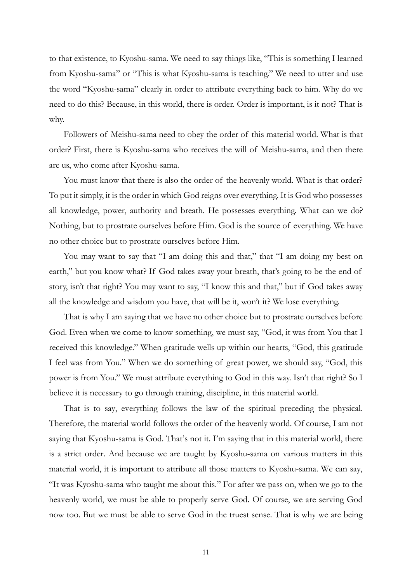to that existence, to Kyoshu-sama. We need to say things like, "This is something I learned from Kyoshu-sama" or "This is what Kyoshu-sama is teaching." We need to utter and use the word "Kyoshu-sama" clearly in order to attribute everything back to him. Why do we need to do this? Because, in this world, there is order. Order is important, is it not? That is why.

Followers of Meishu-sama need to obey the order of this material world. What is that order? First, there is Kyoshu-sama who receives the will of Meishu-sama, and then there are us, who come after Kyoshu-sama.

You must know that there is also the order of the heavenly world. What is that order? To put it simply, it is the order in which God reigns over everything. It is God who possesses all knowledge, power, authority and breath. He possesses everything. What can we do? Nothing, but to prostrate ourselves before Him. God is the source of everything. We have no other choice but to prostrate ourselves before Him.

You may want to say that "I am doing this and that," that "I am doing my best on earth," but you know what? If God takes away your breath, that's going to be the end of story, isn't that right? You may want to say, "I know this and that," but if God takes away all the knowledge and wisdom you have, that will be it, won't it? We lose everything.

That is why I am saying that we have no other choice but to prostrate ourselves before God. Even when we come to know something, we must say, "God, it was from You that I received this knowledge." When gratitude wells up within our hearts, "God, this gratitude I feel was from You." When we do something of great power, we should say, "God, this power is from You." We must attribute everything to God in this way. Isn't that right? So I believe it is necessary to go through training, discipline, in this material world.

That is to say, everything follows the law of the spiritual preceding the physical. Therefore, the material world follows the order of the heavenly world. Of course, I am not saying that Kyoshu-sama is God. That's not it. I'm saying that in this material world, there is a strict order. And because we are taught by Kyoshu-sama on various matters in this material world, it is important to attribute all those matters to Kyoshu-sama. We can say, "It was Kyoshu-sama who taught me about this." For after we pass on, when we go to the heavenly world, we must be able to properly serve God. Of course, we are serving God now too. But we must be able to serve God in the truest sense. That is why we are being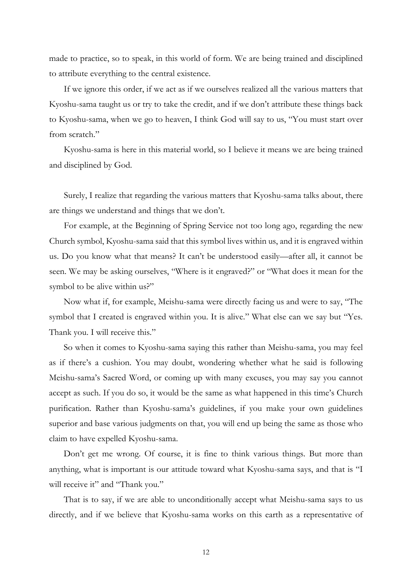made to practice, so to speak, in this world of form. We are being trained and disciplined to attribute everything to the central existence.

If we ignore this order, if we act as if we ourselves realized all the various matters that Kyoshu-sama taught us or try to take the credit, and if we don't attribute these things back to Kyoshu-sama, when we go to heaven, I think God will say to us, "You must start over from scratch."

Kyoshu-sama is here in this material world, so I believe it means we are being trained and disciplined by God.

Surely, I realize that regarding the various matters that Kyoshu-sama talks about, there are things we understand and things that we don't.

For example, at the Beginning of Spring Service not too long ago, regarding the new Church symbol, Kyoshu-sama said that this symbol lives within us, and it is engraved within us. Do you know what that means? It can't be understood easily—after all, it cannot be seen. We may be asking ourselves, "Where is it engraved?" or "What does it mean for the symbol to be alive within us?"

Now what if, for example, Meishu-sama were directly facing us and were to say, "The symbol that I created is engraved within you. It is alive." What else can we say but "Yes. Thank you. I will receive this."

So when it comes to Kyoshu-sama saying this rather than Meishu-sama, you may feel as if there's a cushion. You may doubt, wondering whether what he said is following Meishu-sama's Sacred Word, or coming up with many excuses, you may say you cannot accept as such. If you do so, it would be the same as what happened in this time's Church purification. Rather than Kyoshu-sama's guidelines, if you make your own guidelines superior and base various judgments on that, you will end up being the same as those who claim to have expelled Kyoshu-sama.

Don't get me wrong. Of course, it is fine to think various things. But more than anything, what is important is our attitude toward what Kyoshu-sama says, and that is "I will receive it" and "Thank you."

That is to say, if we are able to unconditionally accept what Meishu-sama says to us directly, and if we believe that Kyoshu-sama works on this earth as a representative of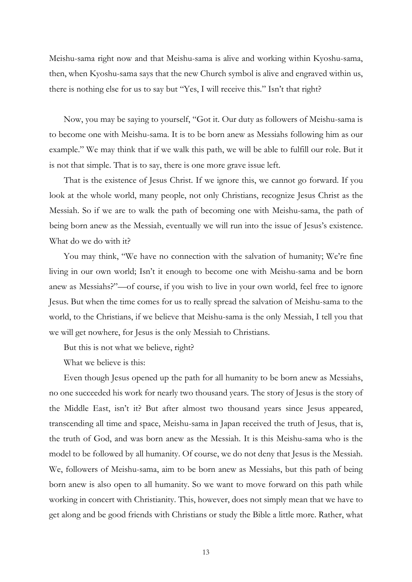Meishu-sama right now and that Meishu-sama is alive and working within Kyoshu-sama, then, when Kyoshu-sama says that the new Church symbol is alive and engraved within us, there is nothing else for us to say but "Yes, I will receive this." Isn't that right?

Now, you may be saying to yourself, "Got it. Our duty as followers of Meishu-sama is to become one with Meishu-sama. It is to be born anew as Messiahs following him as our example." We may think that if we walk this path, we will be able to fulfill our role. But it is not that simple. That is to say, there is one more grave issue left.

That is the existence of Jesus Christ. If we ignore this, we cannot go forward. If you look at the whole world, many people, not only Christians, recognize Jesus Christ as the Messiah. So if we are to walk the path of becoming one with Meishu-sama, the path of being born anew as the Messiah, eventually we will run into the issue of Jesus's existence. What do we do with it?

You may think, "We have no connection with the salvation of humanity; We're fine living in our own world; Isn't it enough to become one with Meishu-sama and be born anew as Messiahs?"—of course, if you wish to live in your own world, feel free to ignore Jesus. But when the time comes for us to really spread the salvation of Meishu-sama to the world, to the Christians, if we believe that Meishu-sama is the only Messiah, I tell you that we will get nowhere, for Jesus is the only Messiah to Christians.

But this is not what we believe, right?

What we believe is this:

Even though Jesus opened up the path for all humanity to be born anew as Messiahs, no one succeeded his work for nearly two thousand years. The story of Jesus is the story of the Middle East, isn't it? But after almost two thousand years since Jesus appeared, transcending all time and space, Meishu-sama in Japan received the truth of Jesus, that is, the truth of God, and was born anew as the Messiah. It is this Meishu-sama who is the model to be followed by all humanity. Of course, we do not deny that Jesus is the Messiah. We, followers of Meishu-sama, aim to be born anew as Messiahs, but this path of being born anew is also open to all humanity. So we want to move forward on this path while working in concert with Christianity. This, however, does not simply mean that we have to get along and be good friends with Christians or study the Bible a little more. Rather, what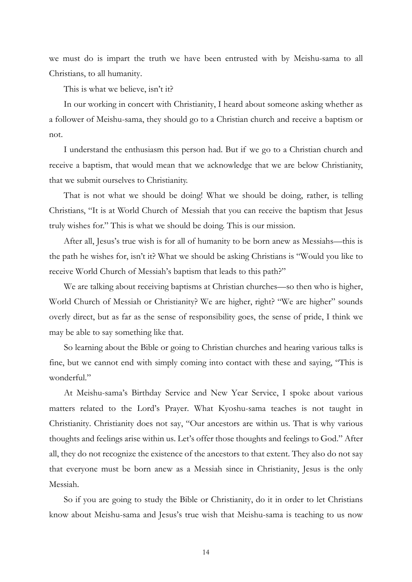we must do is impart the truth we have been entrusted with by Meishu-sama to all Christians, to all humanity.

This is what we believe, isn't it?

In our working in concert with Christianity, I heard about someone asking whether as a follower of Meishu-sama, they should go to a Christian church and receive a baptism or not.

I understand the enthusiasm this person had. But if we go to a Christian church and receive a baptism, that would mean that we acknowledge that we are below Christianity, that we submit ourselves to Christianity.

That is not what we should be doing! What we should be doing, rather, is telling Christians, "It is at World Church of Messiah that you can receive the baptism that Jesus truly wishes for." This is what we should be doing. This is our mission.

After all, Jesus's true wish is for all of humanity to be born anew as Messiahs—this is the path he wishes for, isn't it? What we should be asking Christians is "Would you like to receive World Church of Messiah's baptism that leads to this path?"

We are talking about receiving baptisms at Christian churches—so then who is higher, World Church of Messiah or Christianity? We are higher, right? "We are higher" sounds overly direct, but as far as the sense of responsibility goes, the sense of pride, I think we may be able to say something like that.

So learning about the Bible or going to Christian churches and hearing various talks is fine, but we cannot end with simply coming into contact with these and saying, "This is wonderful."

At Meishu-sama's Birthday Service and New Year Service, I spoke about various matters related to the Lord's Prayer. What Kyoshu-sama teaches is not taught in Christianity. Christianity does not say, "Our ancestors are within us. That is why various thoughts and feelings arise within us. Let's offer those thoughts and feelings to God." After all, they do not recognize the existence of the ancestors to that extent. They also do not say that everyone must be born anew as a Messiah since in Christianity, Jesus is the only Messiah.

So if you are going to study the Bible or Christianity, do it in order to let Christians know about Meishu-sama and Jesus's true wish that Meishu-sama is teaching to us now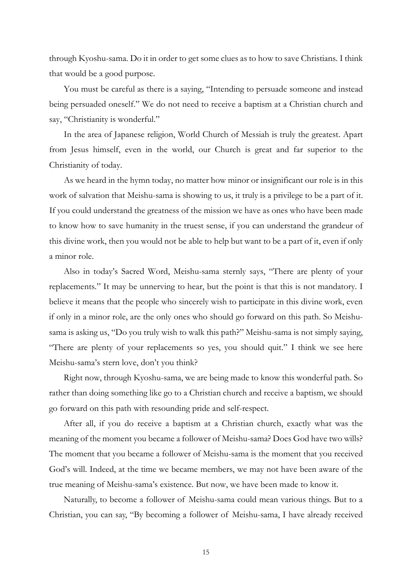through Kyoshu-sama. Do it in order to get some clues as to how to save Christians. I think that would be a good purpose.

You must be careful as there is a saying, "Intending to persuade someone and instead being persuaded oneself." We do not need to receive a baptism at a Christian church and say, "Christianity is wonderful."

In the area of Japanese religion, World Church of Messiah is truly the greatest. Apart from Jesus himself, even in the world, our Church is great and far superior to the Christianity of today.

As we heard in the hymn today, no matter how minor or insignificant our role is in this work of salvation that Meishu-sama is showing to us, it truly is a privilege to be a part of it. If you could understand the greatness of the mission we have as ones who have been made to know how to save humanity in the truest sense, if you can understand the grandeur of this divine work, then you would not be able to help but want to be a part of it, even if only a minor role.

Also in today's Sacred Word, Meishu-sama sternly says, "There are plenty of your replacements." It may be unnerving to hear, but the point is that this is not mandatory. I believe it means that the people who sincerely wish to participate in this divine work, even if only in a minor role, are the only ones who should go forward on this path. So Meishusama is asking us, "Do you truly wish to walk this path?" Meishu-sama is not simply saying, "There are plenty of your replacements so yes, you should quit." I think we see here Meishu-sama's stern love, don't you think?

Right now, through Kyoshu-sama, we are being made to know this wonderful path. So rather than doing something like go to a Christian church and receive a baptism, we should go forward on this path with resounding pride and self-respect.

After all, if you do receive a baptism at a Christian church, exactly what was the meaning of the moment you became a follower of Meishu-sama? Does God have two wills? The moment that you became a follower of Meishu-sama is the moment that you received God's will. Indeed, at the time we became members, we may not have been aware of the true meaning of Meishu-sama's existence. But now, we have been made to know it.

Naturally, to become a follower of Meishu-sama could mean various things. But to a Christian, you can say, "By becoming a follower of Meishu-sama, I have already received